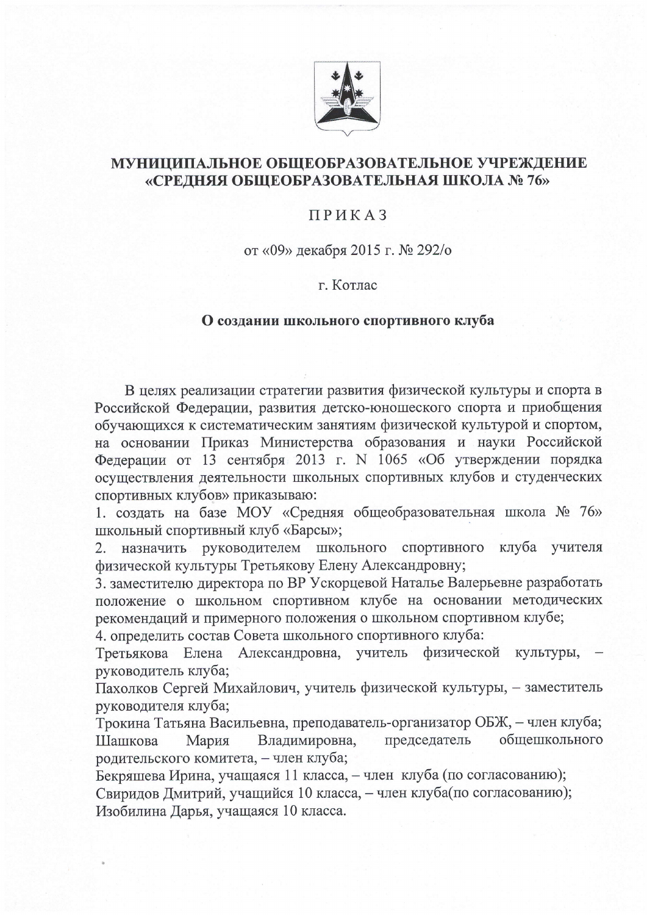

## МУНИЦИПАЛЬНОЕ ОБЩЕОБРАЗОВАТЕЛЬНОЕ УЧРЕЖДЕНИЕ «СРЕДНЯЯ ОБЩЕОБРАЗОВАТЕЛЬНАЯ ШКОЛА № 76»

## ПРИКАЗ

от «09» декабря 2015 г. № 292/о

## г. Котлас

## О создании школьного спортивного клуба

В целях реализации стратегии развития физической культуры и спорта в Российской Федерации, развития детско-юношеского спорта и приобщения обучающихся к систематическим занятиям физической культурой и спортом, на основании Приказ Министерства образования и науки Российской Федерации от 13 сентября 2013 г. N 1065 «Об утверждении порядка осуществления деятельности школьных спортивных клубов и студенческих спортивных клубов» приказываю:

1. создать на базе МОУ «Средняя общеобразовательная школа № 76» школьный спортивный клуб «Барсы»;

2. назначить руководителем школьного спортивного клуба учителя физической культуры Третьякову Елену Александровну;

3. заместителю директора по ВР Ускорцевой Наталье Валерьевне разработать положение о школьном спортивном клубе на основании методических рекомендаций и примерного положения о школьном спортивном клубе;

4. определить состав Совета школьного спортивного клуба:

Третьякова Елена Александровна, учитель физической культуры, руководитель клуба;

Пахолков Сергей Михайлович, учитель физической культуры, - заместитель руководителя клуба;

Трокина Татьяна Васильевна, преподаватель-организатор ОБЖ, - член клуба; Владимировна, председатель общешкольного Мария Шашкова родительского комитета, - член клуба;

Бекряшева Ирина, учащаяся 11 класса, - член клуба (по согласованию);

Свиридов Дмитрий, учащийся 10 класса, - член клуба(по согласованию); Изобилина Дарья, учащаяся 10 класса.